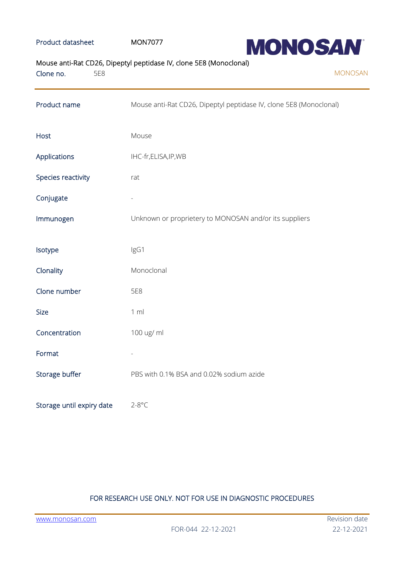## Product datasheet MON7077



# Mouse anti-Rat CD26, Dipeptyl peptidase IV, clone 5E8 (Monoclonal)

| Clone no.<br>5E8          | <b>MONOSAN</b>                                                     |
|---------------------------|--------------------------------------------------------------------|
| Product name              | Mouse anti-Rat CD26, Dipeptyl peptidase IV, clone 5E8 (Monoclonal) |
| Host                      | Mouse                                                              |
| Applications              | IHC-fr,ELISA,IP,WB                                                 |
| Species reactivity        | rat                                                                |
| Conjugate                 |                                                                    |
| Immunogen                 | Unknown or proprietery to MONOSAN and/or its suppliers             |
| Isotype                   | IgG1                                                               |
| Clonality                 | Monoclonal                                                         |
| Clone number              | 5E8                                                                |
| <b>Size</b>               | 1 m                                                                |
| Concentration             | 100 ug/ ml                                                         |
| Format                    |                                                                    |
| Storage buffer            | PBS with 0.1% BSA and 0.02% sodium azide                           |
| Storage until expiry date | $2-8$ °C                                                           |

# FOR RESEARCH USE ONLY. NOT FOR USE IN DIAGNOSTIC PROCEDURES

[www.monosan.com](http://www.monosan.com/) **Revision** date